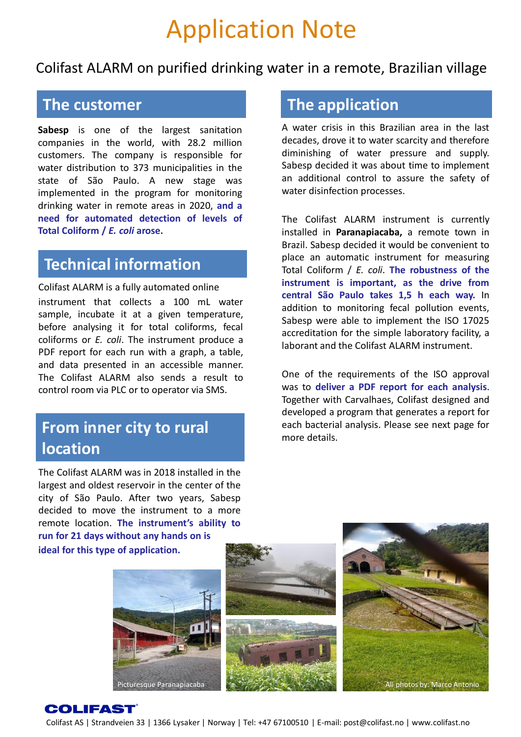# Application Note

Colifast ALARM on purified drinking water in a remote, Brazilian village

#### **The customer**

**Sabesp** is one of the largest sanitation companies in the world, with 28.2 million customers. The company is responsible for water distribution to 373 municipalities in the state of São Paulo. A new stage was implemented in the program for monitoring drinking water in remote areas in 2020, **and a need for automated detection of levels of Total Coliform /** *E. coli* **arose.**

#### **Technical information**

Colifast ALARM is a fully automated online instrument that collects a 100 mL water sample, incubate it at a given temperature, before analysing it for total coliforms, fecal coliforms or *E. coli*. The instrument produce a PDF report for each run with a graph, a table, and data presented in an accessible manner. The Colifast ALARM also sends a result to control room via PLC or to operator via SMS.

#### **From inner city to rural location**

The Colifast ALARM was in 2018 installed in the largest and oldest reservoir in the center of the city of São Paulo. After two years, Sabesp decided to move the instrument to a more remote location. **The instrument's ability to run for 21 days without any hands on is**

**ideal for this type of application.**







### **The application**

A water crisis in this Brazilian area in the last decades, drove it to water scarcity and therefore diminishing of water pressure and supply. Sabesp decided it was about time to implement an additional control to assure the safety of water disinfection processes.

The Colifast ALARM instrument is currently installed in **Paranapiacaba,** a remote town in Brazil. Sabesp decided it would be convenient to place an automatic instrument for measuring Total Coliform / *E. coli*. **The robustness of the instrument is important, as the drive from central São Paulo takes 1,5 h each way.** In addition to monitoring fecal pollution events, Sabesp were able to implement the ISO 17025 accreditation for the simple laboratory facility, a laborant and the Colifast ALARM instrument.

One of the requirements of the ISO approval was to **deliver a PDF report for each analysis**. Together with Carvalhaes, Colifast designed and developed a program that generates a report for each bacterial analysis. Please see next page for more details.

#### **COLIFAST**

Colifast AS | Strandveien 33 | 1366 Lysaker | Norway | Tel: +47 67100510 | E-mail: post@colifast.no | www.colifast.no